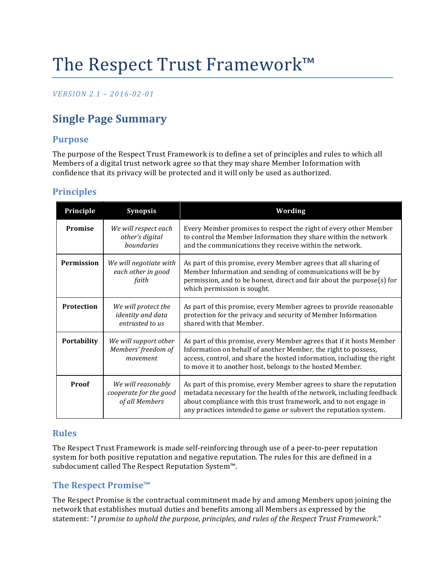# The Respect Trust Framework™

### *VERSION 2.1 – 2016-02-01*

# **Single Page Summary**

### **Purpose**

The purpose of the Respect Trust Framework is to define a set of principles and rules to which all Members of a digital trust network agree so that they may share Member Information with confidence that its privacy will be protected and it will only be used as authorized.

### **Principles**

| Principle         | <b>Synopsis</b>                                                | Wording                                                                                                                                                                                                                                                                              |
|-------------------|----------------------------------------------------------------|--------------------------------------------------------------------------------------------------------------------------------------------------------------------------------------------------------------------------------------------------------------------------------------|
| Promise           | We will respect each<br>other's digital<br>boundaries          | Every Member promises to respect the right of every other Member<br>to control the Member Information they share within the network<br>and the communications they receive within the network.                                                                                       |
| <b>Permission</b> | We will negotiate with<br>each other in good<br>faith          | As part of this promise, every Member agrees that all sharing of<br>Member Information and sending of communications will be by<br>permission, and to be honest, direct and fair about the purpose(s) for<br>which permission is sought.                                             |
| <b>Protection</b> | We will protect the<br>identity and data<br>entrusted to us    | As part of this promise, every Member agrees to provide reasonable<br>protection for the privacy and security of Member Information<br>shared with that Member.                                                                                                                      |
| Portability       | We will support other<br>Members' freedom of<br>movement       | As part of this promise, every Member agrees that if it hosts Member<br>Information on behalf of another Member, the right to possess,<br>access, control, and share the hosted information, including the right<br>to move it to another host, belongs to the hosted Member.        |
| Proof             | We will reasonably<br>cooperate for the good<br>of all Members | As part of this promise, every Member agrees to share the reputation<br>metadata necessary for the health of the network, including feedback<br>about compliance with this trust framework, and to not engage in<br>any practices intended to game or subvert the reputation system. |

### **Rules**

The Respect Trust Framework is made self-reinforcing through use of a peer-to-peer reputation system for both positive reputation and negative reputation. The rules for this are defined in a subdocument called The Respect Reputation System™.

#### **The Respect Promise™**

The Respect Promise is the contractual commitment made by and among Members upon joining the network that establishes mutual duties and benefits among all Members as expressed by the statement: "*I promise to uphold the purpose, principles, and rules of the Respect Trust Framework*."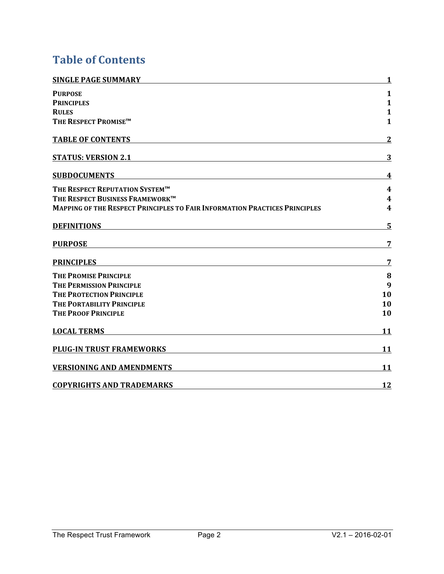# **Table of Contents**

| <b>SINGLE PAGE SUMMARY</b>                                                 | $\mathbf{1}$ |  |
|----------------------------------------------------------------------------|--------------|--|
| <b>PURPOSE</b>                                                             | 1            |  |
| <b>PRINCIPLES</b>                                                          | $\mathbf{1}$ |  |
| <b>RULES</b>                                                               | $\mathbf{1}$ |  |
| THE RESPECT PROMISE™                                                       | $\mathbf{1}$ |  |
| <b>TABLE OF CONTENTS</b>                                                   | $\mathbf{2}$ |  |
| <b>STATUS: VERSION 2.1</b>                                                 | 3            |  |
| <b>SUBDOCUMENTS</b>                                                        | 4            |  |
| THE RESPECT REPUTATION SYSTEM™                                             | 4            |  |
| THE RESPECT BUSINESS FRAMEWORK™                                            | 4            |  |
| MAPPING OF THE RESPECT PRINCIPLES TO FAIR INFORMATION PRACTICES PRINCIPLES |              |  |
| <b>DEFINITIONS</b>                                                         | 5            |  |
| <b>PURPOSE</b>                                                             | 7            |  |
| <b>PRINCIPLES</b>                                                          | 7            |  |
| <b>THE PROMISE PRINCIPLE</b>                                               | 8            |  |
| THE PERMISSION PRINCIPLE                                                   | 9            |  |
| <b>THE PROTECTION PRINCIPLE</b>                                            | 10           |  |
| THE PORTABILITY PRINCIPLE                                                  | 10           |  |
| <b>THE PROOF PRINCIPLE</b>                                                 | 10           |  |
| <b>LOCAL TERMS</b>                                                         | 11           |  |
| <b>PLUG-IN TRUST FRAMEWORKS</b>                                            | 11           |  |
| <b>VERSIONING AND AMENDMENTS</b>                                           | 11           |  |
| <b>COPYRIGHTS AND TRADEMARKS</b>                                           | 12           |  |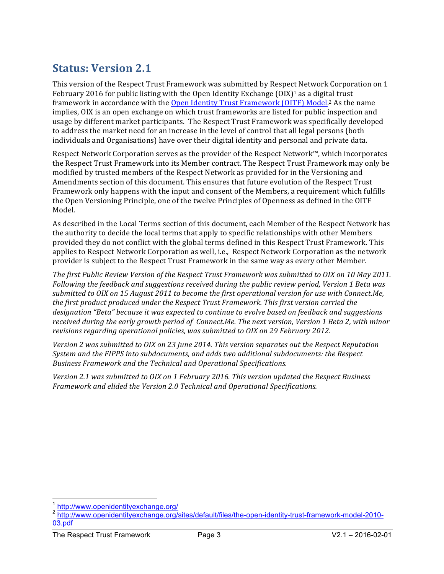# **Status: Version 2.1**

This version of the Respect Trust Framework was submitted by Respect Network Corporation on 1 February 2016 for public listing with the Open Identity Exchange  $(OIX)^1$  as a digital trust framework in accordance with the Open Identity Trust Framework (OITF) Model.<sup>2</sup> As the name implies, OIX is an open exchange on which trust frameworks are listed for public inspection and usage by different market participants. The Respect Trust Framework was specifically developed to address the market need for an increase in the level of control that all legal persons (both individuals and Organisations) have over their digital identity and personal and private data.

Respect Network Corporation serves as the provider of the Respect Network™, which incorporates the Respect Trust Framework into its Member contract. The Respect Trust Framework may only be modified by trusted members of the Respect Network as provided for in the Versioning and Amendments section of this document. This ensures that future evolution of the Respect Trust Framework only happens with the input and consent of the Members, a requirement which fulfills the Open Versioning Principle, one of the twelve Principles of Openness as defined in the OITF Model.

As described in the Local Terms section of this document, each Member of the Respect Network has the authority to decide the local terms that apply to specific relationships with other Members provided they do not conflict with the global terms defined in this Respect Trust Framework. This applies to Respect Network Corporation as well, i.e., Respect Network Corporation as the network provider is subject to the Respect Trust Framework in the same way as every other Member.

The first Public Review Version of the Respect Trust Framework was submitted to OIX on 10 May 2011. Following the feedback and suggestions received during the public review period, Version 1 Beta was submitted to OIX on 15 August 2011 to become the first operational version for use with Connect.Me, *the first product produced under the Respect Trust Framework. This first version carried the* designation "Beta" because it was expected to continue to evolve based on feedback and suggestions *received during the early growth period of Connect.Me. The next version, Version 1 Beta 2, with minor revisions regarding operational policies, was submitted to OIX on 29 February 2012.* 

*Version* 2 was submitted to OIX on 23 June 2014. This version separates out the Respect Reputation *System* and the FIPPS into subdocuments, and adds two additional subdocuments: the Respect *Business Framework and the Technical and Operational Specifications.*

*Version* 2.1 was submitted to OIX on 1 February 2016. This version updated the Respect Business *Framework and elided the Version 2.0 Technical and Operational Specifications.*

<sup>&</sup>lt;sup>1</sup> http://www.openidentityexchange.org/

<sup>2</sup> http://www.openidentityexchange.org/sites/default/files/the-open-identity-trust-framework-model-2010- 03.pdf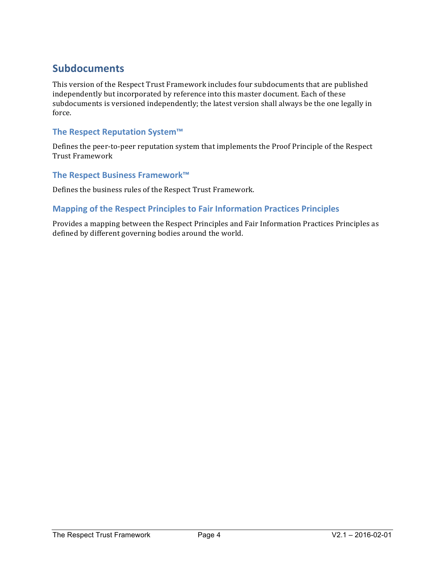### **Subdocuments**

This version of the Respect Trust Framework includes four subdocuments that are published independently but incorporated by reference into this master document. Each of these subdocuments is versioned independently; the latest version shall always be the one legally in force.

### **The Respect Reputation System™**

Defines the peer-to-peer reputation system that implements the Proof Principle of the Respect Trust Framework

#### **The Respect Business Framework™**

Defines the business rules of the Respect Trust Framework.

#### **Mapping of the Respect Principles to Fair Information Practices Principles**

Provides a mapping between the Respect Principles and Fair Information Practices Principles as defined by different governing bodies around the world.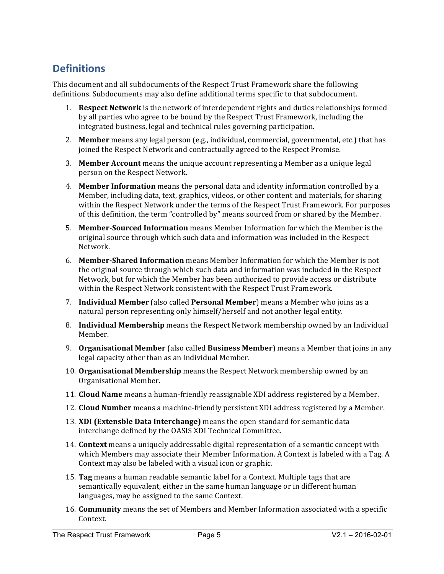### **Definitions**

This document and all subdocuments of the Respect Trust Framework share the following definitions. Subdocuments may also define additional terms specific to that subdocument.

- 1. **Respect Network** is the network of interdependent rights and duties relationships formed by all parties who agree to be bound by the Respect Trust Framework, including the integrated business, legal and technical rules governing participation.
- 2. **Member** means any legal person (e.g., individual, commercial, governmental, etc.) that has joined the Respect Network and contractually agreed to the Respect Promise.
- 3. Member Account means the unique account representing a Member as a unique legal person on the Respect Network.
- 4. **Member Information** means the personal data and identity information controlled by a Member, including data, text, graphics, videos, or other content and materials, for sharing within the Respect Network under the terms of the Respect Trust Framework. For purposes of this definition, the term "controlled by" means sourced from or shared by the Member.
- 5. **Member-Sourced Information** means Member Information for which the Member is the original source through which such data and information was included in the Respect Network.
- 6. **Member-Shared Information** means Member Information for which the Member is not the original source through which such data and information was included in the Respect Network, but for which the Member has been authorized to provide access or distribute within the Respect Network consistent with the Respect Trust Framework.
- 7. **Individual Member** (also called **Personal Member**) means a Member who joins as a natural person representing only himself/herself and not another legal entity.
- 8. **Individual Membership** means the Respect Network membership owned by an Individual Member.
- 9. **Organisational Member** (also called **Business Member**) means a Member that joins in any legal capacity other than as an Individual Member.
- 10. **Organisational Membership** means the Respect Network membership owned by an Organisational Member.
- 11. **Cloud Name** means a human-friendly reassignable XDI address registered by a Member.
- 12. **Cloud Number** means a machine-friendly persistent XDI address registered by a Member.
- 13. **XDI** (Extensble Data Interchange) means the open standard for semantic data interchange defined by the OASIS XDI Technical Committee.
- 14. **Context** means a uniquely addressable digital representation of a semantic concept with which Members may associate their Member Information. A Context is labeled with a Tag. A Context may also be labeled with a visual icon or graphic.
- 15. **Tag** means a human readable semantic label for a Context. Multiple tags that are semantically equivalent, either in the same human language or in different human languages, may be assigned to the same Context.
- 16. **Community** means the set of Members and Member Information associated with a specific Context.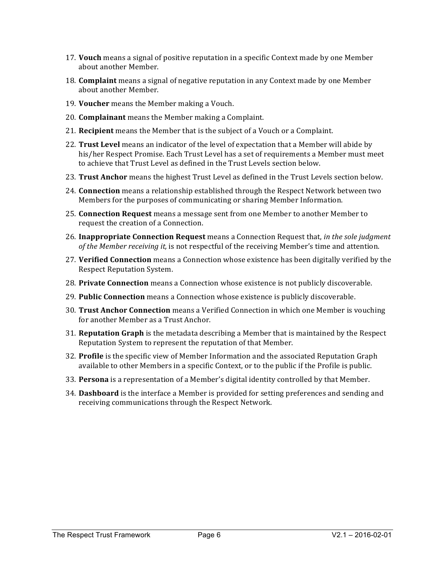- 17. **Vouch** means a signal of positive reputation in a specific Context made by one Member about another Member.
- 18. **Complaint** means a signal of negative reputation in any Context made by one Member about another Member.
- 19. **Voucher** means the Member making a Vouch.
- 20. **Complainant** means the Member making a Complaint.
- 21. **Recipient** means the Member that is the subject of a Vouch or a Complaint.
- 22. **Trust Level** means an indicator of the level of expectation that a Member will abide by his/her Respect Promise. Each Trust Level has a set of requirements a Member must meet to achieve that Trust Level as defined in the Trust Levels section below.
- 23. **Trust Anchor** means the highest Trust Level as defined in the Trust Levels section below.
- 24. **Connection** means a relationship established through the Respect Network between two Members for the purposes of communicating or sharing Member Information.
- 25. **Connection Request** means a message sent from one Member to another Member to request the creation of a Connection.
- **26. Inappropriate Connection Request** means a Connection Request that, *in the sole judgment of the Member receiving it,* is not respectful of the receiving Member's time and attention.
- 27. **Verified Connection** means a Connection whose existence has been digitally verified by the Respect Reputation System.
- 28. **Private Connection** means a Connection whose existence is not publicly discoverable.
- 29. **Public Connection** means a Connection whose existence is publicly discoverable.
- 30. **Trust Anchor Connection** means a Verified Connection in which one Member is vouching for another Member as a Trust Anchor.
- **31. Reputation Graph** is the metadata describing a Member that is maintained by the Respect Reputation System to represent the reputation of that Member.
- 32. **Profile** is the specific view of Member Information and the associated Reputation Graph available to other Members in a specific Context, or to the public if the Profile is public.
- 33. **Persona** is a representation of a Member's digital identity controlled by that Member.
- 34. **Dashboard** is the interface a Member is provided for setting preferences and sending and receiving communications through the Respect Network.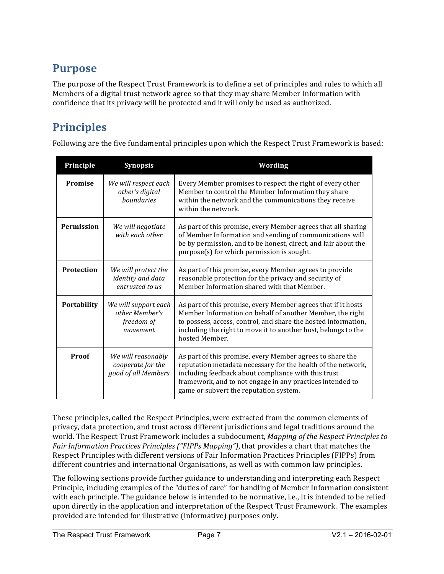## **Purpose**

The purpose of the Respect Trust Framework is to define a set of principles and rules to which all Members of a digital trust network agree so that they may share Member Information with confidence that its privacy will be protected and it will only be used as authorized.

# **Principles**

Following are the five fundamental principles upon which the Respect Trust Framework is based:

| Principle         | <b>Synopsis</b>                                                    | <b>Wording</b>                                                                                                                                                                                                                                                                          |
|-------------------|--------------------------------------------------------------------|-----------------------------------------------------------------------------------------------------------------------------------------------------------------------------------------------------------------------------------------------------------------------------------------|
| <b>Promise</b>    | We will respect each<br>other's digital<br><i>houndaries</i>       | Every Member promises to respect the right of every other<br>Member to control the Member Information they share<br>within the network and the communications they receive<br>within the network.                                                                                       |
| <b>Permission</b> | We will negotiate<br>with each other                               | As part of this promise, every Member agrees that all sharing<br>of Member Information and sending of communications will<br>be by permission, and to be honest, direct, and fair about the<br>purpose(s) for which permission is sought.                                               |
| <b>Protection</b> | We will protect the<br><i>identity</i> and data<br>entrusted to us | As part of this promise, every Member agrees to provide<br>reasonable protection for the privacy and security of<br>Member Information shared with that Member.                                                                                                                         |
| Portability       | We will support each<br>other Member's<br>freedom of<br>movement   | As part of this promise, every Member agrees that if it hosts<br>Member Information on behalf of another Member, the right<br>to possess, access, control, and share the hosted information,<br>including the right to move it to another host, belongs to the<br>hosted Member.        |
| Proof             | We will reasonably<br>cooperate for the<br>good of all Members     | As part of this promise, every Member agrees to share the<br>reputation metadata necessary for the health of the network,<br>including feedback about compliance with this trust<br>framework, and to not engage in any practices intended to<br>game or subvert the reputation system. |

These principles, called the Respect Principles, were extracted from the common elements of privacy, data protection, and trust across different jurisdictions and legal traditions around the world. The Respect Trust Framework includes a subdocument, *Mapping of the Respect Principles to Fair Information Practices Principles ("FIPPs Mapping")*, that provides a chart that matches the Respect Principles with different versions of Fair Information Practices Principles (FIPPs) from different countries and international Organisations, as well as with common law principles.

The following sections provide further guidance to understanding and interpreting each Respect Principle, including examples of the "duties of care" for handling of Member Information consistent with each principle. The guidance below is intended to be normative, i.e., it is intended to be relied upon directly in the application and interpretation of the Respect Trust Framework. The examples provided are intended for illustrative (informative) purposes only.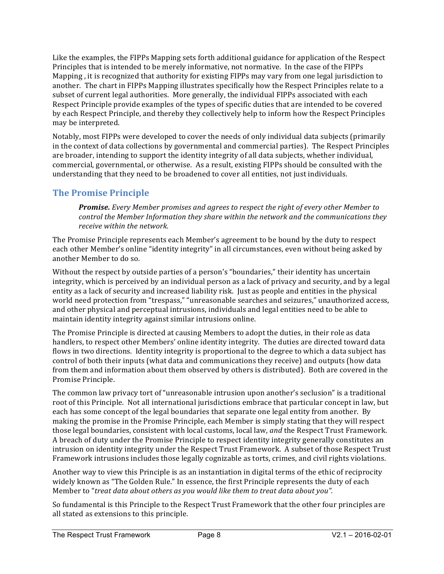Like the examples, the FIPPs Mapping sets forth additional guidance for application of the Respect Principles that is intended to be merely informative, not normative. In the case of the FIPPs Mapping, it is recognized that authority for existing FIPPs may vary from one legal jurisdiction to another. The chart in FIPPs Mapping illustrates specifically how the Respect Principles relate to a subset of current legal authorities. More generally, the individual FIPPs associated with each Respect Principle provide examples of the types of specific duties that are intended to be covered by each Respect Principle, and thereby they collectively help to inform how the Respect Principles may be interpreted.

Notably, most FIPPs were developed to cover the needs of only individual data subjects (primarily in the context of data collections by governmental and commercial parties). The Respect Principles are broader, intending to support the identity integrity of all data subjects, whether individual, commercial, governmental, or otherwise. As a result, existing FIPPs should be consulted with the understanding that they need to be broadened to cover all entities, not just individuals.

### **The Promise Principle**

**Promise.** Every Member promises and agrees to respect the right of every other Member to *control* the Member Information they share within the network and the communications they *receive within the network.* 

The Promise Principle represents each Member's agreement to be bound by the duty to respect each other Member's online "identity integrity" in all circumstances, even without being asked by another Member to do so.

Without the respect by outside parties of a person's "boundaries," their identity has uncertain integrity, which is perceived by an individual person as a lack of privacy and security, and by a legal entity as a lack of security and increased liability risk. Just as people and entities in the physical world need protection from "trespass," "unreasonable searches and seizures," unauthorized access, and other physical and perceptual intrusions, individuals and legal entities need to be able to maintain identity integrity against similar intrusions online.

The Promise Principle is directed at causing Members to adopt the duties, in their role as data handlers, to respect other Members' online identity integrity. The duties are directed toward data flows in two directions. Identity integrity is proportional to the degree to which a data subject has control of both their inputs (what data and communications they receive) and outputs (how data from them and information about them observed by others is distributed). Both are covered in the Promise Principle.

The common law privacy tort of "unreasonable intrusion upon another's seclusion" is a traditional root of this Principle. Not all international jurisdictions embrace that particular concept in law, but each has some concept of the legal boundaries that separate one legal entity from another. By making the promise in the Promise Principle, each Member is simply stating that they will respect those legal boundaries, consistent with local customs, local law, and the Respect Trust Framework. A breach of duty under the Promise Principle to respect identity integrity generally constitutes an intrusion on identity integrity under the Respect Trust Framework. A subset of those Respect Trust Framework intrusions includes those legally cognizable as torts, crimes, and civil rights violations.

Another way to view this Principle is as an instantiation in digital terms of the ethic of reciprocity widely known as "The Golden Rule." In essence, the first Principle represents the duty of each Member to "treat data about others as you would like them to treat data about you".

So fundamental is this Principle to the Respect Trust Framework that the other four principles are all stated as extensions to this principle.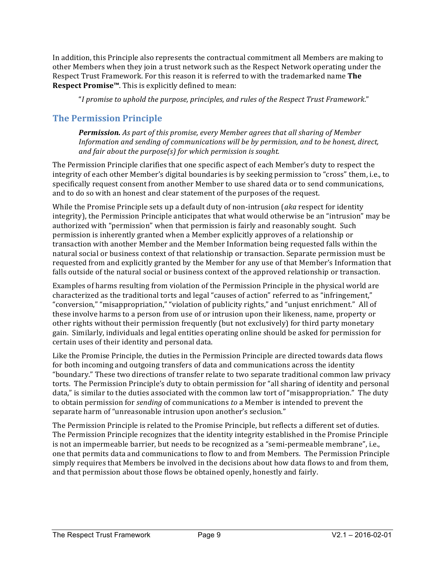In addition, this Principle also represents the contractual commitment all Members are making to other Members when they join a trust network such as the Respect Network operating under the Respect Trust Framework. For this reason it is referred to with the trademarked name The **Respect Promise™**. This is explicitly defined to mean:

"*I* promise to uphold the purpose, principles, and rules of the Respect Trust Framework."

### **The Permission Principle**

**Permission.** As part of this promise, every Member agrees that all sharing of Member *Information* and sending of communications will be by permission, and to be honest, direct, *and fair about the purpose(s)* for which permission is sought.

The Permission Principle clarifies that one specific aspect of each Member's duty to respect the integrity of each other Member's digital boundaries is by seeking permission to "cross" them, i.e., to specifically request consent from another Member to use shared data or to send communications, and to do so with an honest and clear statement of the purposes of the request.

While the Promise Principle sets up a default duty of non-intrusion (*aka* respect for identity integrity), the Permission Principle anticipates that what would otherwise be an "intrusion" may be authorized with "permission" when that permission is fairly and reasonably sought. Such permission is inherently granted when a Member explicitly approves of a relationship or transaction with another Member and the Member Information being requested falls within the natural social or business context of that relationship or transaction. Separate permission must be requested from and explicitly granted by the Member for any use of that Member's Information that falls outside of the natural social or business context of the approved relationship or transaction.

Examples of harms resulting from violation of the Permission Principle in the physical world are characterized as the traditional torts and legal "causes of action" referred to as "infringement," "conversion," "misappropriation," "violation of publicity rights," and "unjust enrichment." All of these involve harms to a person from use of or intrusion upon their likeness, name, property or other rights without their permission frequently (but not exclusively) for third party monetary gain. Similarly, individuals and legal entities operating online should be asked for permission for certain uses of their identity and personal data.

Like the Promise Principle, the duties in the Permission Principle are directed towards data flows for both incoming and outgoing transfers of data and communications across the identity "boundary." These two directions of transfer relate to two separate traditional common law privacy torts. The Permission Principle's duty to obtain permission for "all sharing of identity and personal data," is similar to the duties associated with the common law tort of "misappropriation." The duty to obtain permission for *sending* of communications to a Member is intended to prevent the separate harm of "unreasonable intrusion upon another's seclusion."

The Permission Principle is related to the Promise Principle, but reflects a different set of duties. The Permission Principle recognizes that the identity integrity established in the Promise Principle is not an impermeable barrier, but needs to be recognized as a "semi-permeable membrane", i.e., one that permits data and communications to flow to and from Members. The Permission Principle simply requires that Members be involved in the decisions about how data flows to and from them, and that permission about those flows be obtained openly, honestly and fairly.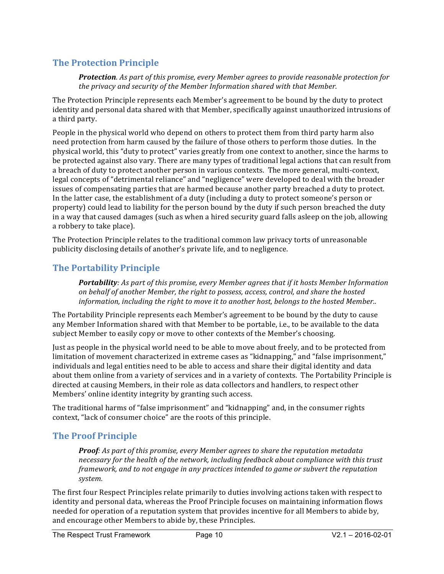### **The Protection Principle**

**Protection***.* As part of this promise, every Member agrees to provide reasonable protection for *the privacy and security of the Member Information shared with that Member.* 

The Protection Principle represents each Member's agreement to be bound by the duty to protect identity and personal data shared with that Member, specifically against unauthorized intrusions of a third party.

People in the physical world who depend on others to protect them from third party harm also need protection from harm caused by the failure of those others to perform those duties. In the physical world, this "duty to protect" varies greatly from one context to another, since the harms to be protected against also vary. There are many types of traditional legal actions that can result from a breach of duty to protect another person in various contexts. The more general, multi-context, legal concepts of "detrimental reliance" and "negligence" were developed to deal with the broader issues of compensating parties that are harmed because another party breached a duty to protect. In the latter case, the establishment of a duty (including a duty to protect someone's person or property) could lead to liability for the person bound by the duty if such person breached the duty in a way that caused damages (such as when a hired security guard falls asleep on the job, allowing a robbery to take place).

The Protection Principle relates to the traditional common law privacy torts of unreasonable publicity disclosing details of another's private life, and to negligence.

### **The Portability Principle**

**Portability**: As part of this promise, every Member agrees that if it hosts Member Information on behalf of another Member, the right to possess, access, control, and share the hosted *information, including the right to move it to another host, belongs to the hosted Member..* 

The Portability Principle represents each Member's agreement to be bound by the duty to cause any Member Information shared with that Member to be portable, i.e., to be available to the data subject Member to easily copy or move to other contexts of the Member's choosing.

Just as people in the physical world need to be able to move about freely, and to be protected from limitation of movement characterized in extreme cases as "kidnapping," and "false imprisonment," individuals and legal entities need to be able to access and share their digital identity and data about them online from a variety of services and in a variety of contexts. The Portability Principle is directed at causing Members, in their role as data collectors and handlers, to respect other Members' online identity integrity by granting such access.

The traditional harms of "false imprisonment" and "kidnapping" and, in the consumer rights context, "lack of consumer choice" are the roots of this principle.

### **The Proof Principle**

**Proof**: As part of this promise, every Member agrees to share the reputation metadata necessary for the health of the network, including feedback about compliance with this trust *framework, and to not engage in any practices intended to game or subvert the reputation system.*

The first four Respect Principles relate primarily to duties involving actions taken with respect to identity and personal data, whereas the Proof Principle focuses on maintaining information flows needed for operation of a reputation system that provides incentive for all Members to abide by, and encourage other Members to abide by, these Principles.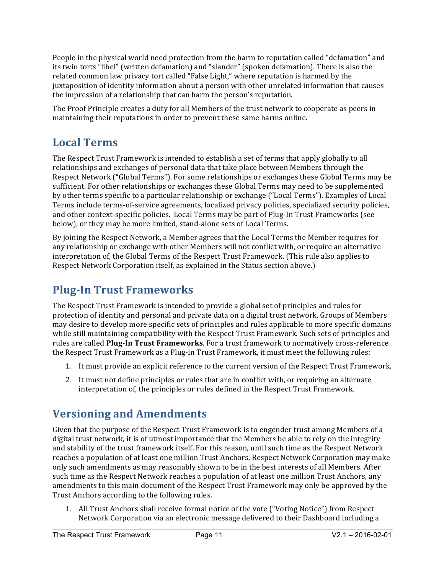People in the physical world need protection from the harm to reputation called "defamation" and its twin torts "libel" (written defamation) and "slander" (spoken defamation). There is also the related common law privacy tort called "False Light," where reputation is harmed by the juxtaposition of identity information about a person with other unrelated information that causes the impression of a relationship that can harm the person's reputation.

The Proof Principle creates a duty for all Members of the trust network to cooperate as peers in maintaining their reputations in order to prevent these same harms online.

# **Local Terms**

The Respect Trust Framework is intended to establish a set of terms that apply globally to all relationships and exchanges of personal data that take place between Members through the Respect Network ("Global Terms"). For some relationships or exchanges these Global Terms may be sufficient. For other relationships or exchanges these Global Terms may need to be supplemented by other terms specific to a particular relationship or exchange ("Local Terms"). Examples of Local Terms include terms-of-service agreements, localized privacy policies, specialized security policies, and other context-specific policies. Local Terms may be part of Plug-In Trust Frameworks (see below), or they may be more limited, stand-alone sets of Local Terms.

By joining the Respect Network, a Member agrees that the Local Terms the Member requires for any relationship or exchange with other Members will not conflict with, or require an alternative interpretation of, the Global Terms of the Respect Trust Framework. (This rule also applies to Respect Network Corporation itself, as explained in the Status section above.)

# **Plug-In Trust Frameworks**

The Respect Trust Framework is intended to provide a global set of principles and rules for protection of identity and personal and private data on a digital trust network. Groups of Members may desire to develop more specific sets of principles and rules applicable to more specific domains while still maintaining compatibility with the Respect Trust Framework. Such sets of principles and rules are called Plug-In Trust Frameworks. For a trust framework to normatively cross-reference the Respect Trust Framework as a Plug-in Trust Framework, it must meet the following rules:

- 1. It must provide an explicit reference to the current version of the Respect Trust Framework.
- 2. It must not define principles or rules that are in conflict with, or requiring an alternate interpretation of, the principles or rules defined in the Respect Trust Framework.

# **Versioning and Amendments**

Given that the purpose of the Respect Trust Framework is to engender trust among Members of a digital trust network, it is of utmost importance that the Members be able to rely on the integrity and stability of the trust framework itself. For this reason, until such time as the Respect Network reaches a population of at least one million Trust Anchors, Respect Network Corporation may make only such amendments as may reasonably shown to be in the best interests of all Members. After such time as the Respect Network reaches a population of at least one million Trust Anchors, any amendments to this main document of the Respect Trust Framework may only be approved by the Trust Anchors according to the following rules.

1. All Trust Anchors shall receive formal notice of the vote ("Voting Notice") from Respect Network Corporation via an electronic message delivered to their Dashboard including a